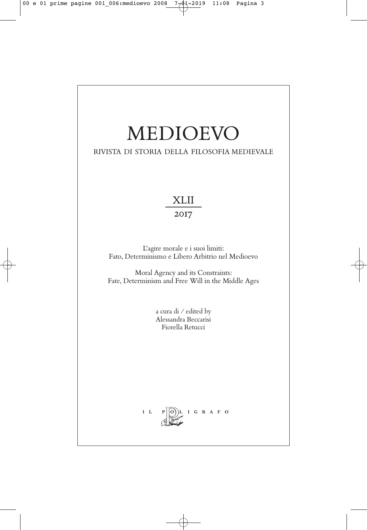# MEDIOEVO

RIVISTA DI STORIA DELLA FILOSOFIA MEDIEVALE

## XLII

2017

L'agire morale e i suoi limiti: Fato, Determinismo e Libero Arbitrio nel Medioevo

Moral Agency and its Constraints: Fate, Determinism and Free Will in the Middle Ages

> a cura di / edited by Alessandra Beccarisi Fiorella Retucci

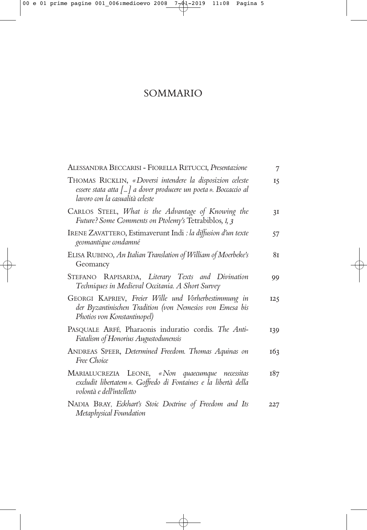### SOMMARIO

| ALESSANDRA BECCARISI - FIORELLA RETUCCI, Presentazione                                                                                                         | 7               |
|----------------------------------------------------------------------------------------------------------------------------------------------------------------|-----------------|
| THOMAS RICKLIN, «Doversi intendere la disposizion celeste<br>essere stata atta [] a dover producere un poeta». Boccaccio al<br>lavoro con la casualità celeste | $I\overline{S}$ |
| CARLOS STEEL, What is the Advantage of Knowing the<br>Future? Some Comments on Ptolemy's Tetrabiblos, I, 3                                                     | 3I              |
| IRENE ZAVATTERO, Estimaverunt Indi : la diffusion d'un texte<br>geomantique condamné                                                                           | 57              |
| ELISA RUBINO, An Italian Translation of William of Moerbeke's<br>Geomancy                                                                                      | 8т              |
| STEFANO RAPISARDA, Literary Texts and Divination<br>Techniques in Medieval Occitania. A Short Survey                                                           | 99              |
| GEORGI KAPRIEV, Freier Wille und Vorherbestimmung in<br>der Byzantinischen Tradition (von Nemesios von Emesa bis<br>Photios von Konstantinopel)                | 125             |
| PASQUALE ARFÉ, Pharaonis induratio cordis. The Anti-<br>Fatalism of Honorius Augustodunensis                                                                   | <b>I39</b>      |
| ANDREAS SPEER, Determined Freedom. Thomas Aquinas on<br>Free Choice                                                                                            | 163             |
| MARIALUCREZIA LEONE, «Non quaecumque necessitas<br>excludit libertatem». Goffredo di Fontaines e la libertà della<br>volontà e dell'intelletto                 | 187             |
| NADIA BRAY, Eckhart's Stoic Doctrine of Freedom and Its<br>Metaphysical Foundation                                                                             | 227             |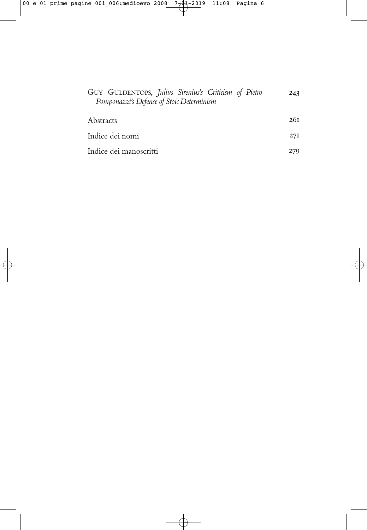| GUY GULDENTOPS, Julius Sirenius's Criticism of Pietro<br>Pomponazzi's Defense of Stoic Determinism | 243 |
|----------------------------------------------------------------------------------------------------|-----|
| Abstracts                                                                                          | 26т |
| Indice dei nomi                                                                                    | 27I |
| Indice dei manoscritti                                                                             | 279 |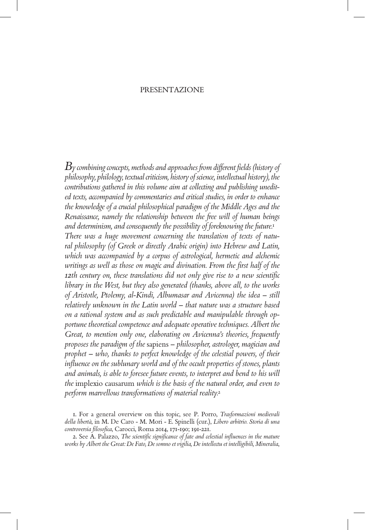#### PRESENTAZIONE

*By combining concepts, methods and approaches from different fields (history of philosophy, philology, textual criticism, history of science, intellectual history), the contributions gathered in this volume aim at collecting and publishing unedited texts, accompanied by commentaries and critical studies, in order to enhance the knowledge of a crucial philosophical paradigm of the Middle Ages and the Renaissance, namely the relationship between the free will of human beings and determinism, and consequently the possibility of foreknowing the future.*<sup>1</sup> *There was a huge movement concerning the translation of texts of natural philosophy (of Greek or directly Arabic origin) into Hebrew and Latin, which was accompanied by a corpus of astrological, hermetic and alchemic writings as well as those on magic and divination. From the first half of the 12th century on, these translations did not only give rise to a new scientific library in the West, but they also generated (thanks, above all, to the works of Aristotle, Ptolemy, al-Kindi, Albumasar and Avicenna) the idea – still relatively unknown in the Latin world – that nature was a structure based on a rational system and as such predictable and manipulable through opportune theoretical competence and adequate operative techniques. Albert the Great, to mention only one, elaborating on Avicenna's theories, frequently proposes the paradigm of the* sapiens *– philosopher, astrologer, magician and prophet – who, thanks to perfect knowledge of the celestial powers, of their influence on the sublunary world and of the occult properties of stones, plants and animals, is able to foresee future events, to interpret and bend to his will the* implexio causarum *which is the basis of the natural order, and even to perform marvellous transformations of material reality.*<sup>2</sup>

<sup>1.</sup> For a general overview on this topic, see P. Porro, *Trasformazioni medievali della libertà*, in M. De Caro - M. Mori - E. Spinelli (cur.), *Libero arbitrio. Storia di una controversia filosofica*, Carocci, Roma 2014, 171-190; 191-221.

<sup>2.</sup> See A. Palazzo, *The scientific significance of fate and celestial influences in the mature works by Albert the Great: De Fato, De somno et vigilia, De intellectu et intelligibili, Mineralia*,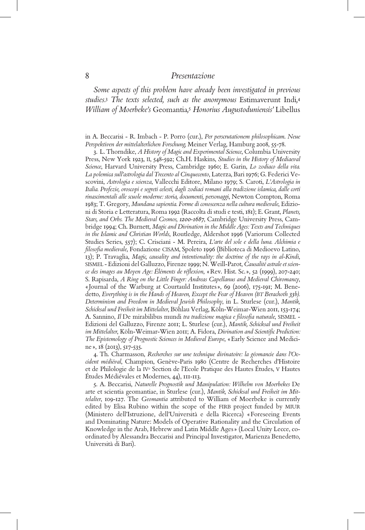*Some aspects of this problem have already been investigated in previous studies.*3 *The texts selected, such as the anonymous* Estimaverunt Indi*,* 4 *William of Moerbeke's* Geomantia*,* <sup>5</sup> *Honorius Augustoduniensis'* Libellus

in A. Beccarisi - R. Imbach - P. Porro (cur.), *Per perscrutationem philosophicam*. *Neue Perspektiven der mittelalterlichen Forschung,* Meiner Verlag, Hamburg 2008, 55-78.

3. L. Thorndike, *A History of Magic and Experimental Science*, Columbia University Press, New York 1923, II, 548-592; Ch.H. Haskins, *Studies in the History of Mediaeval Science*, Harvard University Press, Cambridge 1960; E. Garin, *Lo zodiaco della vita. La polemica sull'astrologia dal Trecento al Cinquecento*, Laterza, Bari 1976; G. Federici Vescovini, *Astrologia e scienza*, Vallecchi Editore, Milano 1979; S. Caroti, *L'Astrologia in Italia. Profezie, oroscopi e segreti celesti, dagli zodiaci romani alla tradizione islamica, dalle corti rinascimentali alle scuole moderne: storia, documenti, personaggi*, Newton Compton, Roma 1983; T. Gregory, *Mundana sapientia. Forme di conoscenza nella cultura medievale*, Edizioni di Storia e Letteratura, Roma 1992 (Raccolta di studi e testi, 181); E. Grant, *Planets, Stars, and Orbs. The Medieval Cosmos, 1200-1687*, Cambridge University Press, Cambridge 1994; Ch. Burnett, *Magic and Divination in the Middle Ages: Texts and Techniques in the Islamic and Christian Worlds*, Routledge, Aldershot 1996 (Variorum Collected Studies Series, 557); C. Crisciani - M. Pereira, *L'arte del sole e della luna. Alchimia e filosofia medievale*, Fondazione CISAM, Spoleto 1996 (Biblioteca di Medioevo Latino, 13); P. Travaglia, *Magic, causality and intentionality: the doctrine of the rays in al-Kindi*, SISMEL - Edizioni del Galluzzo, Firenze 1999; N. Weill-Parot, *Causalité astrale et science des images au Moyen Age: Éléments de réflexion*, «Rev. Hist. Sc. », 52 (1999), 207-240; S. Rapisarda, *A Ring on the Little Finger: Andreas Capellanus and Medieval Chiromancy*, « Journal of the Warburg at Courtauld Institutes », 69 (2006), 175-191; M. Benedetto, *Everything is in the Hands of Heaven, Except the Fear of Heaven (BT Berachoth 33b). Determinism and Freedom in Medieval Jewish Philosophy*, in L. Sturlese (cur.), *Mantik, Schicksal und Freiheit im Mittelalter*, Böhlau Verlag, Köln-Weimar-Wien 2011, 153-174; A. Sannino, *Il* De mirabilibus mundi *tra tradizione magica e filosofia naturale*, SISMEL - Edizioni del Galluzzo, Firenze 2011; L. Sturlese (cur.), *Mantik, Schicksal und Freiheit im Mittelalter*, Köln-Weimar-Wien 2011; A. Fidora, *Divination and Scientific Prediction: The Epistemology of Prognostic Sciences in Medieval Europe*, «Early Science and Medicine », 18 (2013), 517-535.

4. Th. Charmasson, *Recherches sur une technique divinatoire: la géomancie dans l'Occident médiéval*, Champion, Genève-Paris 1980 (Centre de Recherches d'Histoire et de Philologie de la IVe Section de l'Ecole Pratique des Hautes Études, V Hautes Études Médiévales et Modernes, 44), 111-113.

5. A. Beccarisi, *Naturelle Prognostik und Manipulation: Wilhelm von Moerbekes* De arte et scientia geomantiae, in Sturlese (cur.), *Mantik, Schicksal und Freiheit im Mittelalter*, 109-127. The *Geomantia* attributed to William of Moerbeke is currently edited by Elisa Rubino within the scope of the FIRB project funded by MIUR (Ministero dell'Istruzione, dell'Università e della Ricerca) «Foreseeing Events and Dominating Nature: Models of Operative Rationality and the Circulation of Knowledge in the Arab, Hebrew and Latin Middle Ages » (Local Unity Lecce, coordinated by Alessandra Beccarisi and Principal Investigator, Marienza Benedetto, Università di Bari).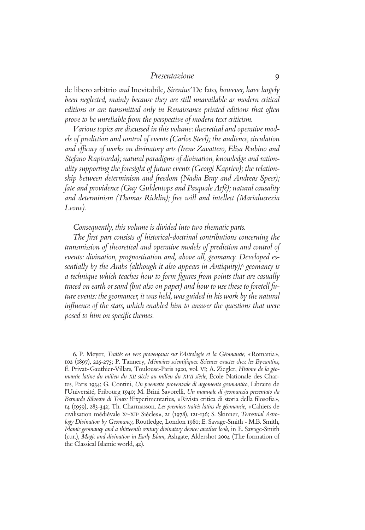de libero arbitrio *and* Inevitabile*, Sirenius'* De fato*, however, have largely*  been neglected, mainly because they are still unavailable as modern critical *editions or are transmitted only in Renaissance printed editions that often prove to be unreliable from the perspective of modern text criticism.* 

*Various topics are discussed in this volume: theoretical and operative models of prediction and control of events (Carlos Steel); the audience, circulation and efficacy of works on divinatory arts (Irene Zavattero, Elisa Rubino and Stefano Rapisarda); natural paradigms of divination, knowledge and rationality supporting the foresight of future events (Georgi Kapriev); the relationship between determinism and freedom (Nadia Bray and Andreas Speer); fate and providence (Guy Guldentops and Pasquale Arfé); natural causality and determinism (Thomas Ricklin); free will and intellect (Marialucrezia Leone).* 

*Consequently, this volume is divided into two thematic parts.* 

*The first part consists of historical-doctrinal contributions concerning the transmission of theoretical and operative models of prediction and control of events: divination, prognostication and, above all, geomancy. Developed essentially by the Arabs (although it also appears in Antiquity),*6 *geomancy is a technique which teaches how to form figures from points that are casually traced on earth or sand (but also on paper) and how to use these to foretell future events: the geomancer, it was held, was guided in his work by the natural influence of the stars, which enabled him to answer the questions that were posed to him on specific themes.* 

6. P. Meyer, *Traités en vers provençaux sur l'Astrologie et la Géomancie*, «Romania», 102 (1897), 225-275; P. Tannery, *Mémoires scientifiques. Sciences exactes chez les Byzantins*, É. Privat-Gauthier-Villars, Toulouse-Paris 1920, vol. VI; A. Ziegler, *Histoire de la géomancie latine du milieu du XII siècle au milieu du XVII siècle*, École Nationale des Chartes, Paris 1934; G. Contini, *Un poemetto provenzale di argomento geomantico*, Libraire de l'Université, Fribourg 1940; M. Brini Savorelli, *Un manuale di geomanzia presentato da Bernardo Silvestre di Tours: l'*Experimentarius, «Rivista critica di storia della filosofia», 14 (1959), 283-342; Th. Charmasson, *Les premiers traités latins de géomancie*, «Cahiers de civilisation médiévale Xe-XIIe Siècles», 21 (1978), 121-136; S. Skinner, *Terrestrial Astrology Divination by Geomancy*, Routledge, London 1980; E. Savage-Smith - M.B. Smith, *Islamic geomancy and a thirteenth century divinatory device: another look*, in E. Savage-Smith (cur.), *Magic and divination in Early Islam*, Ashgate, Aldershot 2004 (The formation of the Classical Islamic world, 42).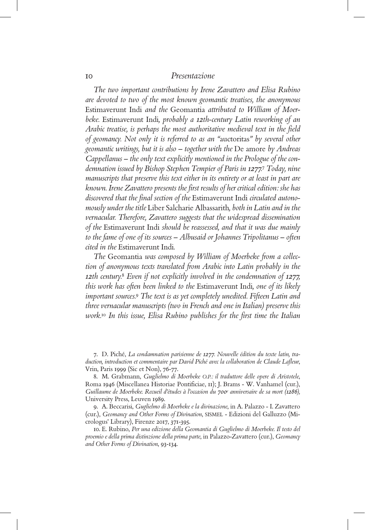*The two important contributions by Irene Zavattero and Elisa Rubino are devoted to two of the most known geomantic treatises, the anonymous*  Estimaverunt Indi *and the* Geomantia *attributed to William of Moerbeke.* Estimaverunt Indi*, probably a 12th-century Latin reworking of an Arabic treatise, is perhaps the most authoritative medieval text in the field of geomancy. Not only it is referred to as an "*auctoritas*" by several other geomantic writings, but it is also – together with the* De amore *by Andreas Cappellanus – the only text explicitly mentioned in the Prologue of the condemnation issued by Bishop Stephen Tempier of Paris in 1277.*7 *Today, nine manuscripts that preserve this text either in its entirety or at least in part are known. Irene Zavattero presents the first results of her critical edition: she has discovered that the final section of the* Estimaverunt Indi *circulated autonomously under the title* Liber Salcharie Albassarith*, both in Latin and in the vernacular. Therefore, Zavattero suggests that the widespread dissemination of the* Estimaverunt Indi *should be reassessed, and that it was due mainly to the fame of one of its sources – Albusaid or Johannes Tripolitanus – often cited in the* Estimaverunt Indi*.*

*The* Geomantia *was composed by William of Moerbeke from a collection of anonymous texts translated from Arabic into Latin probably in the 12th century.*8 *Even if not explicitly involved in the condemnation of 1277, this work has often been linked to the* Estimaverunt Indi*, one of its likely important sources.*9 *The text is as yet completely unedited. Fifteen Latin and three vernacular manuscripts (two in French and one in Italian) preserve this work.*10 *In this issue, Elisa Rubino publishes for the first time the Italian* 

7. D. Piché, *La condamnation parisienne de 1277. Nouvelle édition du texte latin, traduction, introduction et commentaire par David Piché avec la collaboration de Claude Lafleur*, Vrin, Paris 1999 (Sic et Non), 76-77.

8. M. Grabmann, *Gu*g*lielmo di Moerbeke O.P.: il traduttore delle opere di Aristotele*, Roma 1946 (Miscellanea Historiae Pontificiae, 11); J. Brams - W. Vanhamel (cur.), *Guillaume de Moerbeke. Recueil d'études à l'occasion du 700e anniversaire de sa mort (1286),* University Press, Leuven 1989.

9. A. Beccarisi, *Guglielmo di Moerbeke e la divinazione*, in A. Palazzo - I. Zavattero (cur.), *Geomancy and Other Forms of Divination*, SISMEL - Edizioni del Galluzzo (Micrologus' Library), Firenze 2017, 371-395.

10. E. Rubino, *Per una edizione della Geomantia di Guglielmo di Moerbeke. Il testo del proemio e della prima distinzione della prima parte*, in Palazzo-Zavattero (cur.), *Geomancy and Other Forms of Divination*, 93-134.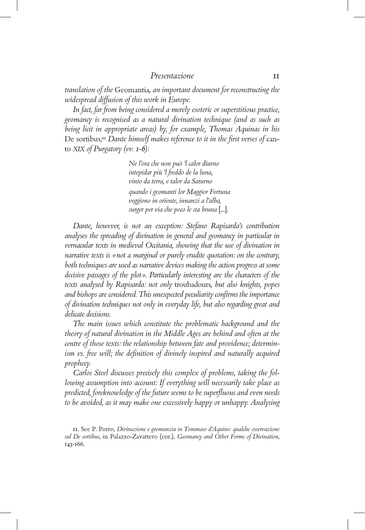*translation of the* Geomantia*, an important document for reconstructing the widespread diffusion of this work in Europe.* 

*In fact, far from being considered a merely esoteric or superstitious practice, geomancy is recognised as a natural divination technique (and as such as being licit in appropriate areas) by, for example, Thomas Aquinas in his*  De sortibus*;* 11 *Dante himself makes reference to it in the first verses of* canto *XIX of Purgatory (vv. 1-6):*

> *Ne l'ora che non può 'l calor dïurno intepidar più 'l freddo de la luna, vinto da terra, e talor da Saturno quando i geomanti lor Maggior Fortuna veggiono in orïente, innanzi a l'alba, surger per via che poco le sta bruna* [...]*.*

*Dante, however, is not an exception: Stefano Rapisarda's contribution analyses the spreading of divination in general and geomancy in particular in vernacular texts in medieval Occitania, showing that the use of divination in narrative texts is «not a marginal or purely erudite quotation: on the contrary, both techniques are used as narrative devices making the action progress at some decisive passages of the plot». Particularly interesting are the characters of the texts analysed by Rapisarda: not only* troubadours*, but also knights, popes and bishops are considered. This unexpected peculiarity confirms the importance of divination techniques not only in everyday life, but also regarding great and delicate decisions.*

*The main issues which constitute the problematic background and the theory of natural divination in the Middle Ages are behind and often at the centre of those texts: the relationship between fate and providence; determinism vs. free will; the definition of divinely inspired and naturally acquired prophecy.* 

*Carlos Steel discusses precisely this complex of problems, taking the following assumption into account: If everything will necessarily take place as predicted, foreknowledge of the future seems to be superfluous and even needs to be avoided, as it may make one excessively happy or unhappy. Analysing* 

<sup>11.</sup> See P. Porro, *Divinazione e geomanzia in Tommaso d'Aquino: qualche osservazione sul De sortibus*, in Palazzo-Zavattero (cur.), *Geomancy and Other Forms of Divination*, 143-166.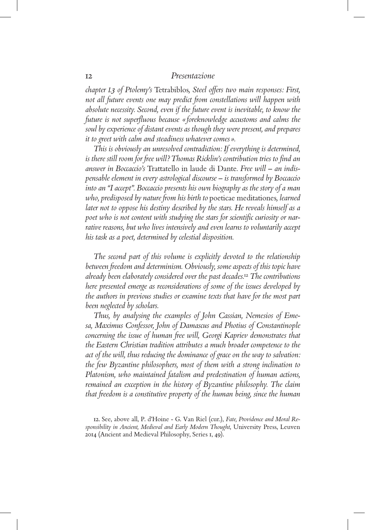*chapter I.3 of Ptolemy's* Tetrabiblos*, Steel offers two main responses: First, not all future events one may predict from constellations will happen with absolute necessity. Second, even if the future event is inevitable, to know the future is not superfluous because « foreknowledge accustoms and calms the soul by experience of distant events as though they were present, and prepares it to greet with calm and steadiness whatever comes ».*

*This is obviously an unresolved contradiction: If everything is determined, is there still room for free will? Thomas Ricklin's contribution tries to find an answer in Boccaccio's* Trattatello in laude di Dante*. Free will – an indispensable element in every astrological discourse – is transformed by Boccaccio into an "I accept". Boccaccio presents his own biography as the story of a man who, predisposed by nature from his birth to* poeticae meditationes*, learned later not to oppose his destiny described by the stars. He reveals himself as a poet who is not content with studying the stars for scientific curiosity or narrative reasons, but who lives intensively and even learns to voluntarily accept his task as a poet, determined by celestial disposition.*

*The second part of this volume is explicitly devoted to the relationship between freedom and determinism. Obviously, some aspects of this topic have already been elaborately considered over the past decades.*12 *The contributions here presented emerge as reconsiderations of some of the issues developed by the authors in previous studies or examine texts that have for the most part been neglected by scholars.*

*Thus, by analysing the examples of John Cassian, Nemesios of Emesa, Maximus Confessor, John of Damascus and Photius of Constantinople concerning the issue of human free will, Georgi Kapriev demonstrates that the Eastern Christian tradition attributes a much broader competence to the act of the will, thus reducing the dominance of grace on the way to salvation: the few Byzantine philosophers, most of them with a strong inclination to Platonism, who maintained fatalism and predestination of human actions, remained an exception in the history of Byzantine philosophy. The claim that freedom is a constitutive property of the human being, since the human* 

12. See, above all, P. d'Hoine - G. Van Riel (cur.), *Fate, Providence and Moral Responsibility in Ancient, Medieval and Early Modern Thought*, University Press, Leuven 2014 (Ancient and Medieval Philosophy, Series 1, 49).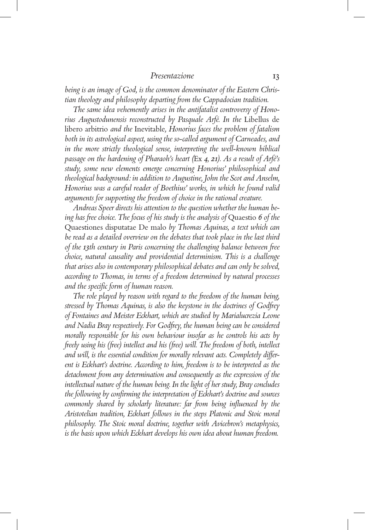*being is an image of God, is the common denominator of the Eastern Christian theology and philosophy departing from the Cappadocian tradition.*

*The same idea vehemently arises in the antifatalist controversy of Honorius Augustodunensis reconstructed by Pasquale Arfé. In the* Libellus de libero arbitrio *and the* Inevitable*, Honorius faces the problem of fatalism both in its astrological aspect, using the so-called argument of Carneades, and*  in the more strictly theological sense, interpreting the well-known biblical *passage on the hardening of Pharaoh's heart (*Ex *4, 21). As a result of Arfé's study, some new elements emerge concerning Honorius' philosophical and theological background: in addition to Augustine, John the Scot and Anselm, Honorius was a careful reader of Boethius' works, in which he found valid arguments for supporting the freedom of choice in the rational creature.* 

*Andreas Speer directs his attention to the question whether the human being has free choice. The focus of his study is the analysis of* Quaestio *6 of the*  Quaestiones disputatae De malo *by Thomas Aquinas, a text which can be read as a detailed overview on the debates that took place in the last third of the 13th century in Paris concerning the challenging balance between free choice, natural causality and providential determinism. This is a challenge that arises also in contemporary philosophical debates and can only be solved, according to Thomas, in terms of a freedom determined by natural processes and the specific form of human reason.*

*The role played by reason with regard to the freedom of the human being, stressed by Thomas Aquinas, is also the keystone in the doctrines of Godfrey of Fontaines and Meister Eckhart, which are studied by Marialucrezia Leone and Nadia Bray respectively. For Godfrey, the human being can be considered morally responsible for his own behaviour insofar as he controls his acts by freely using his (free) intellect and his (free) will. The freedom of both, intellect and will, is the essential condition for morally relevant acts. Completely different is Eckhart's doctrine. According to him, freedom is to be interpreted as the detachment from any determination and consequently as the expression of the intellectual nature of the human being. In the light of her study, Bray concludes the following by confirming the interpretation of Eckhart's doctrine and sources commonly shared by scholarly literature: far from being influenced by the Aristotelian tradition, Eckhart follows in the steps Platonic and Stoic moral philosophy. The Stoic moral doctrine, together with Avicebron's metaphysics, is the basis upon which Eckhart develops his own idea about human freedom.*